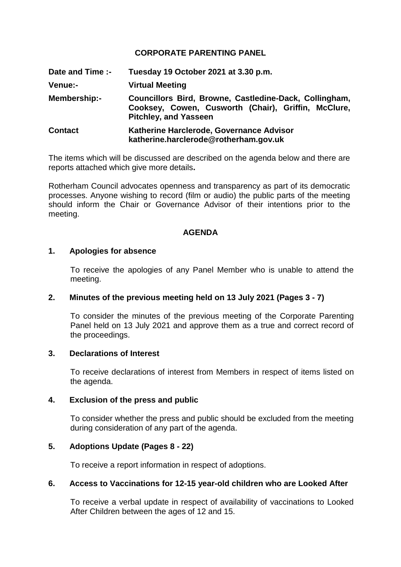# **CORPORATE PARENTING PANEL**

**Date and Time :- Tuesday 19 October 2021 at 3.30 p.m. Venue:- Virtual Meeting Membership:- Councillors Bird, Browne, Castledine-Dack, Collingham, Cooksey, Cowen, Cusworth (Chair), Griffin, McClure, Pitchley, and Yasseen Contact Katherine Harclerode, Governance Advisor katherine.harclerode@rotherham.gov.uk**

The items which will be discussed are described on the agenda below and there are reports attached which give more details**.**

Rotherham Council advocates openness and transparency as part of its democratic processes. Anyone wishing to record (film or audio) the public parts of the meeting should inform the Chair or Governance Advisor of their intentions prior to the meeting.

### **AGENDA**

#### **1. Apologies for absence**

To receive the apologies of any Panel Member who is unable to attend the meeting.

#### **2. Minutes of the previous meeting held on 13 July 2021 (Pages 3 - 7)**

To consider the minutes of the previous meeting of the Corporate Parenting Panel held on 13 July 2021 and approve them as a true and correct record of the proceedings.

### **3. Declarations of Interest**

To receive declarations of interest from Members in respect of items listed on the agenda.

#### **4. Exclusion of the press and public**

To consider whether the press and public should be excluded from the meeting during consideration of any part of the agenda.

# **5. Adoptions Update (Pages 8 - 22)**

To receive a report information in respect of adoptions.

#### **6. Access to Vaccinations for 12-15 year-old children who are Looked After**

To receive a verbal update in respect of availability of vaccinations to Looked After Children between the ages of 12 and 15.